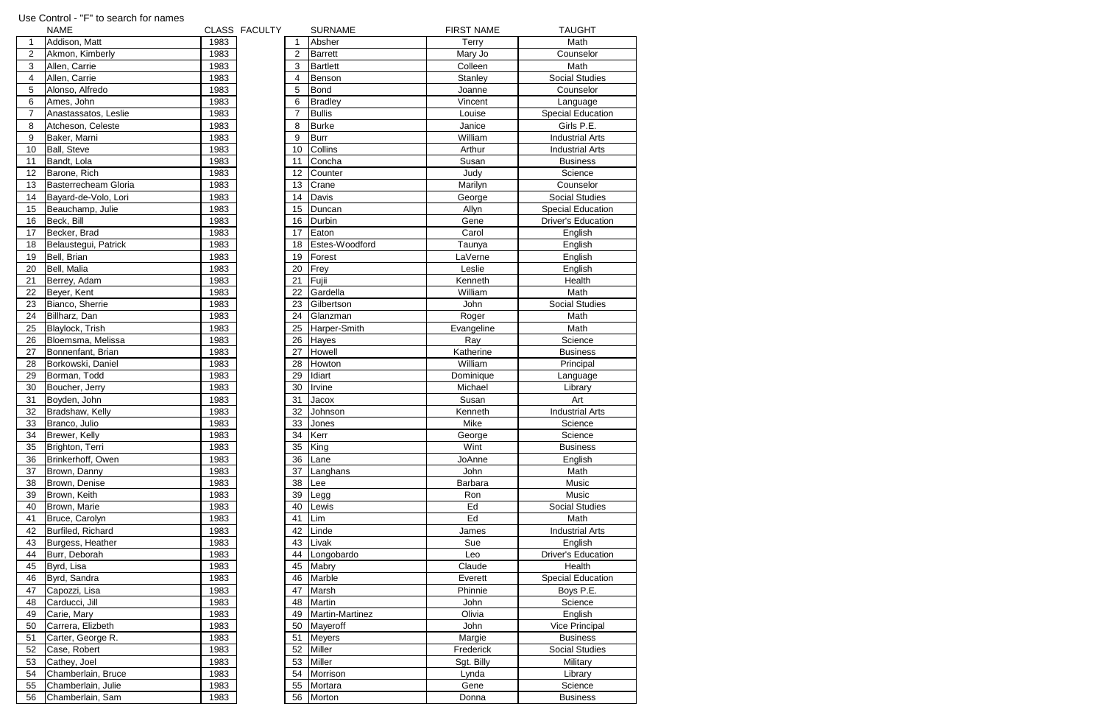| $\mathbf{1}$<br>Addison, Matt<br>1983<br>Absher<br>$\overline{2}$<br>Akmon, Kimberly<br>1983<br><b>Barrett</b><br>2<br>$\sqrt{3}$<br><b>Bartlett</b><br>Allen, Carrie<br>1983<br>3<br>$\overline{4}$<br>Allen, Carrie<br>Benson<br>1983<br>4<br>5<br>Alonso, Alfredo<br>1983<br>5<br><b>Bond</b><br>$6\phantom{1}6$<br>1983<br>6<br>Ames, John<br><b>Bradley</b><br>$\overline{7}$<br><b>Bullis</b><br>Anastassatos, Leslie<br>1983<br><b>Burke</b><br>8<br>Atcheson, Celeste<br>1983<br>8<br>9<br>9<br><b>Burr</b><br>Baker, Marni<br>1983<br>10 <sup>1</sup><br>Collins<br>1983<br>10<br><b>Ball, Steve</b><br>11<br>1983<br>Concha<br>Bandt, Lola<br>11<br>1983<br>12<br>Barone, Rich<br>12<br>Counter<br><b>Basterrecheam Gloria</b><br>Crane<br>13<br>1983<br>13<br>Davis<br>14<br>Bayard-de-Volo, Lori<br>1983<br>14<br>15<br>15<br>Beauchamp, Julie<br>1983<br>Duncan<br>1983<br>16<br>Beck, Bill<br>16<br>Durbin<br>Becker, Brad<br>1983<br>17<br>Eaton<br>17<br>18<br>1983<br>Belaustegui, Patrick<br>18<br>19<br>Forest<br>19<br>Bell, Brian<br>1983<br>20<br>Bell, Malia<br>1983<br>20<br>Frey<br>21<br>Fujii<br>1983<br>21<br>Berrey, Adam<br>1983<br>Gardella<br>22<br>Beyer, Kent<br>22<br>23<br>Bianco, Sherrie<br>1983<br>23<br>Gilbertson<br>24<br>1983<br>24<br>Billharz, Dan<br>Glanzman<br>25<br>1983<br>25<br>Blaylock, Trish<br>26<br>1983<br>Bloemsma, Melissa<br>26<br>Hayes<br>27<br>Bonnenfant, Brian<br>1983<br>27<br>Howell<br>28<br>1983<br>28<br>Borkowski, Daniel<br>Howton<br>29<br>29<br>Idiart<br>Borman, Todd<br>1983<br>30<br>Boucher, Jerry<br>1983<br>30<br>Irvine<br>31<br>Boyden, John<br>1983<br>31<br>Jacox<br>1983<br>32<br>Bradshaw, Kelly<br>32<br>Johnson<br>33<br>33<br>1983<br>Branco, Julio<br>Jones<br>34<br>Brewer, Kelly<br>1983<br>34<br><b>Kerr</b><br>35<br>35<br>Brighton, Terri<br>1983<br>King<br>1983<br>36<br>36<br>Brinkerhoff, Owen<br>Lane<br>1983<br>37<br>37<br>Brown, Danny<br>Langhans | Math<br><b>Terry</b><br>Mary Jo<br>Counselor<br>Math<br>Colleen<br>Stanley<br><b>Social Studies</b><br>Counselor<br>Joanne<br>Vincent<br>Language<br><b>Special Education</b><br>Louise<br>Girls P.E.<br>Janice<br>William<br><b>Industrial Arts</b><br>Arthur<br><b>Industrial Arts</b><br>Susan<br><b>Business</b><br>Science<br>Judy<br>Counselor<br>Marilyn<br><b>Social Studies</b><br>George<br>Allyn<br><b>Special Education</b><br><b>Driver's Education</b><br>Gene<br>Carol<br>English<br>Estes-Woodford<br>English<br>Taunya<br>LaVerne<br>English<br>Leslie<br>English<br>Kenneth<br>Health<br>William<br>Math<br><b>Social Studies</b><br>John<br>Roger<br>Math<br>Harper-Smith<br>Evangeline<br>Math<br>Ray<br>Science<br>Katherine<br><b>Business</b><br>William<br>Principal |
|-----------------------------------------------------------------------------------------------------------------------------------------------------------------------------------------------------------------------------------------------------------------------------------------------------------------------------------------------------------------------------------------------------------------------------------------------------------------------------------------------------------------------------------------------------------------------------------------------------------------------------------------------------------------------------------------------------------------------------------------------------------------------------------------------------------------------------------------------------------------------------------------------------------------------------------------------------------------------------------------------------------------------------------------------------------------------------------------------------------------------------------------------------------------------------------------------------------------------------------------------------------------------------------------------------------------------------------------------------------------------------------------------------------------------------------------------------------------------------------------------------------------------------------------------------------------------------------------------------------------------------------------------------------------------------------------------------------------------------------------------------------------------------------------------------------------------------------------------------------------------------------------------------------------------------------------------------------|----------------------------------------------------------------------------------------------------------------------------------------------------------------------------------------------------------------------------------------------------------------------------------------------------------------------------------------------------------------------------------------------------------------------------------------------------------------------------------------------------------------------------------------------------------------------------------------------------------------------------------------------------------------------------------------------------------------------------------------------------------------------------------------------|
|                                                                                                                                                                                                                                                                                                                                                                                                                                                                                                                                                                                                                                                                                                                                                                                                                                                                                                                                                                                                                                                                                                                                                                                                                                                                                                                                                                                                                                                                                                                                                                                                                                                                                                                                                                                                                                                                                                                                                           |                                                                                                                                                                                                                                                                                                                                                                                                                                                                                                                                                                                                                                                                                                                                                                                              |
|                                                                                                                                                                                                                                                                                                                                                                                                                                                                                                                                                                                                                                                                                                                                                                                                                                                                                                                                                                                                                                                                                                                                                                                                                                                                                                                                                                                                                                                                                                                                                                                                                                                                                                                                                                                                                                                                                                                                                           |                                                                                                                                                                                                                                                                                                                                                                                                                                                                                                                                                                                                                                                                                                                                                                                              |
|                                                                                                                                                                                                                                                                                                                                                                                                                                                                                                                                                                                                                                                                                                                                                                                                                                                                                                                                                                                                                                                                                                                                                                                                                                                                                                                                                                                                                                                                                                                                                                                                                                                                                                                                                                                                                                                                                                                                                           |                                                                                                                                                                                                                                                                                                                                                                                                                                                                                                                                                                                                                                                                                                                                                                                              |
|                                                                                                                                                                                                                                                                                                                                                                                                                                                                                                                                                                                                                                                                                                                                                                                                                                                                                                                                                                                                                                                                                                                                                                                                                                                                                                                                                                                                                                                                                                                                                                                                                                                                                                                                                                                                                                                                                                                                                           |                                                                                                                                                                                                                                                                                                                                                                                                                                                                                                                                                                                                                                                                                                                                                                                              |
|                                                                                                                                                                                                                                                                                                                                                                                                                                                                                                                                                                                                                                                                                                                                                                                                                                                                                                                                                                                                                                                                                                                                                                                                                                                                                                                                                                                                                                                                                                                                                                                                                                                                                                                                                                                                                                                                                                                                                           |                                                                                                                                                                                                                                                                                                                                                                                                                                                                                                                                                                                                                                                                                                                                                                                              |
|                                                                                                                                                                                                                                                                                                                                                                                                                                                                                                                                                                                                                                                                                                                                                                                                                                                                                                                                                                                                                                                                                                                                                                                                                                                                                                                                                                                                                                                                                                                                                                                                                                                                                                                                                                                                                                                                                                                                                           |                                                                                                                                                                                                                                                                                                                                                                                                                                                                                                                                                                                                                                                                                                                                                                                              |
|                                                                                                                                                                                                                                                                                                                                                                                                                                                                                                                                                                                                                                                                                                                                                                                                                                                                                                                                                                                                                                                                                                                                                                                                                                                                                                                                                                                                                                                                                                                                                                                                                                                                                                                                                                                                                                                                                                                                                           |                                                                                                                                                                                                                                                                                                                                                                                                                                                                                                                                                                                                                                                                                                                                                                                              |
|                                                                                                                                                                                                                                                                                                                                                                                                                                                                                                                                                                                                                                                                                                                                                                                                                                                                                                                                                                                                                                                                                                                                                                                                                                                                                                                                                                                                                                                                                                                                                                                                                                                                                                                                                                                                                                                                                                                                                           |                                                                                                                                                                                                                                                                                                                                                                                                                                                                                                                                                                                                                                                                                                                                                                                              |
|                                                                                                                                                                                                                                                                                                                                                                                                                                                                                                                                                                                                                                                                                                                                                                                                                                                                                                                                                                                                                                                                                                                                                                                                                                                                                                                                                                                                                                                                                                                                                                                                                                                                                                                                                                                                                                                                                                                                                           |                                                                                                                                                                                                                                                                                                                                                                                                                                                                                                                                                                                                                                                                                                                                                                                              |
|                                                                                                                                                                                                                                                                                                                                                                                                                                                                                                                                                                                                                                                                                                                                                                                                                                                                                                                                                                                                                                                                                                                                                                                                                                                                                                                                                                                                                                                                                                                                                                                                                                                                                                                                                                                                                                                                                                                                                           |                                                                                                                                                                                                                                                                                                                                                                                                                                                                                                                                                                                                                                                                                                                                                                                              |
|                                                                                                                                                                                                                                                                                                                                                                                                                                                                                                                                                                                                                                                                                                                                                                                                                                                                                                                                                                                                                                                                                                                                                                                                                                                                                                                                                                                                                                                                                                                                                                                                                                                                                                                                                                                                                                                                                                                                                           |                                                                                                                                                                                                                                                                                                                                                                                                                                                                                                                                                                                                                                                                                                                                                                                              |
|                                                                                                                                                                                                                                                                                                                                                                                                                                                                                                                                                                                                                                                                                                                                                                                                                                                                                                                                                                                                                                                                                                                                                                                                                                                                                                                                                                                                                                                                                                                                                                                                                                                                                                                                                                                                                                                                                                                                                           |                                                                                                                                                                                                                                                                                                                                                                                                                                                                                                                                                                                                                                                                                                                                                                                              |
|                                                                                                                                                                                                                                                                                                                                                                                                                                                                                                                                                                                                                                                                                                                                                                                                                                                                                                                                                                                                                                                                                                                                                                                                                                                                                                                                                                                                                                                                                                                                                                                                                                                                                                                                                                                                                                                                                                                                                           |                                                                                                                                                                                                                                                                                                                                                                                                                                                                                                                                                                                                                                                                                                                                                                                              |
|                                                                                                                                                                                                                                                                                                                                                                                                                                                                                                                                                                                                                                                                                                                                                                                                                                                                                                                                                                                                                                                                                                                                                                                                                                                                                                                                                                                                                                                                                                                                                                                                                                                                                                                                                                                                                                                                                                                                                           |                                                                                                                                                                                                                                                                                                                                                                                                                                                                                                                                                                                                                                                                                                                                                                                              |
|                                                                                                                                                                                                                                                                                                                                                                                                                                                                                                                                                                                                                                                                                                                                                                                                                                                                                                                                                                                                                                                                                                                                                                                                                                                                                                                                                                                                                                                                                                                                                                                                                                                                                                                                                                                                                                                                                                                                                           |                                                                                                                                                                                                                                                                                                                                                                                                                                                                                                                                                                                                                                                                                                                                                                                              |
|                                                                                                                                                                                                                                                                                                                                                                                                                                                                                                                                                                                                                                                                                                                                                                                                                                                                                                                                                                                                                                                                                                                                                                                                                                                                                                                                                                                                                                                                                                                                                                                                                                                                                                                                                                                                                                                                                                                                                           |                                                                                                                                                                                                                                                                                                                                                                                                                                                                                                                                                                                                                                                                                                                                                                                              |
|                                                                                                                                                                                                                                                                                                                                                                                                                                                                                                                                                                                                                                                                                                                                                                                                                                                                                                                                                                                                                                                                                                                                                                                                                                                                                                                                                                                                                                                                                                                                                                                                                                                                                                                                                                                                                                                                                                                                                           |                                                                                                                                                                                                                                                                                                                                                                                                                                                                                                                                                                                                                                                                                                                                                                                              |
|                                                                                                                                                                                                                                                                                                                                                                                                                                                                                                                                                                                                                                                                                                                                                                                                                                                                                                                                                                                                                                                                                                                                                                                                                                                                                                                                                                                                                                                                                                                                                                                                                                                                                                                                                                                                                                                                                                                                                           |                                                                                                                                                                                                                                                                                                                                                                                                                                                                                                                                                                                                                                                                                                                                                                                              |
|                                                                                                                                                                                                                                                                                                                                                                                                                                                                                                                                                                                                                                                                                                                                                                                                                                                                                                                                                                                                                                                                                                                                                                                                                                                                                                                                                                                                                                                                                                                                                                                                                                                                                                                                                                                                                                                                                                                                                           |                                                                                                                                                                                                                                                                                                                                                                                                                                                                                                                                                                                                                                                                                                                                                                                              |
|                                                                                                                                                                                                                                                                                                                                                                                                                                                                                                                                                                                                                                                                                                                                                                                                                                                                                                                                                                                                                                                                                                                                                                                                                                                                                                                                                                                                                                                                                                                                                                                                                                                                                                                                                                                                                                                                                                                                                           |                                                                                                                                                                                                                                                                                                                                                                                                                                                                                                                                                                                                                                                                                                                                                                                              |
|                                                                                                                                                                                                                                                                                                                                                                                                                                                                                                                                                                                                                                                                                                                                                                                                                                                                                                                                                                                                                                                                                                                                                                                                                                                                                                                                                                                                                                                                                                                                                                                                                                                                                                                                                                                                                                                                                                                                                           |                                                                                                                                                                                                                                                                                                                                                                                                                                                                                                                                                                                                                                                                                                                                                                                              |
|                                                                                                                                                                                                                                                                                                                                                                                                                                                                                                                                                                                                                                                                                                                                                                                                                                                                                                                                                                                                                                                                                                                                                                                                                                                                                                                                                                                                                                                                                                                                                                                                                                                                                                                                                                                                                                                                                                                                                           |                                                                                                                                                                                                                                                                                                                                                                                                                                                                                                                                                                                                                                                                                                                                                                                              |
|                                                                                                                                                                                                                                                                                                                                                                                                                                                                                                                                                                                                                                                                                                                                                                                                                                                                                                                                                                                                                                                                                                                                                                                                                                                                                                                                                                                                                                                                                                                                                                                                                                                                                                                                                                                                                                                                                                                                                           |                                                                                                                                                                                                                                                                                                                                                                                                                                                                                                                                                                                                                                                                                                                                                                                              |
|                                                                                                                                                                                                                                                                                                                                                                                                                                                                                                                                                                                                                                                                                                                                                                                                                                                                                                                                                                                                                                                                                                                                                                                                                                                                                                                                                                                                                                                                                                                                                                                                                                                                                                                                                                                                                                                                                                                                                           |                                                                                                                                                                                                                                                                                                                                                                                                                                                                                                                                                                                                                                                                                                                                                                                              |
|                                                                                                                                                                                                                                                                                                                                                                                                                                                                                                                                                                                                                                                                                                                                                                                                                                                                                                                                                                                                                                                                                                                                                                                                                                                                                                                                                                                                                                                                                                                                                                                                                                                                                                                                                                                                                                                                                                                                                           |                                                                                                                                                                                                                                                                                                                                                                                                                                                                                                                                                                                                                                                                                                                                                                                              |
|                                                                                                                                                                                                                                                                                                                                                                                                                                                                                                                                                                                                                                                                                                                                                                                                                                                                                                                                                                                                                                                                                                                                                                                                                                                                                                                                                                                                                                                                                                                                                                                                                                                                                                                                                                                                                                                                                                                                                           |                                                                                                                                                                                                                                                                                                                                                                                                                                                                                                                                                                                                                                                                                                                                                                                              |
|                                                                                                                                                                                                                                                                                                                                                                                                                                                                                                                                                                                                                                                                                                                                                                                                                                                                                                                                                                                                                                                                                                                                                                                                                                                                                                                                                                                                                                                                                                                                                                                                                                                                                                                                                                                                                                                                                                                                                           |                                                                                                                                                                                                                                                                                                                                                                                                                                                                                                                                                                                                                                                                                                                                                                                              |
|                                                                                                                                                                                                                                                                                                                                                                                                                                                                                                                                                                                                                                                                                                                                                                                                                                                                                                                                                                                                                                                                                                                                                                                                                                                                                                                                                                                                                                                                                                                                                                                                                                                                                                                                                                                                                                                                                                                                                           |                                                                                                                                                                                                                                                                                                                                                                                                                                                                                                                                                                                                                                                                                                                                                                                              |
|                                                                                                                                                                                                                                                                                                                                                                                                                                                                                                                                                                                                                                                                                                                                                                                                                                                                                                                                                                                                                                                                                                                                                                                                                                                                                                                                                                                                                                                                                                                                                                                                                                                                                                                                                                                                                                                                                                                                                           |                                                                                                                                                                                                                                                                                                                                                                                                                                                                                                                                                                                                                                                                                                                                                                                              |
|                                                                                                                                                                                                                                                                                                                                                                                                                                                                                                                                                                                                                                                                                                                                                                                                                                                                                                                                                                                                                                                                                                                                                                                                                                                                                                                                                                                                                                                                                                                                                                                                                                                                                                                                                                                                                                                                                                                                                           | Dominique<br>Language                                                                                                                                                                                                                                                                                                                                                                                                                                                                                                                                                                                                                                                                                                                                                                        |
|                                                                                                                                                                                                                                                                                                                                                                                                                                                                                                                                                                                                                                                                                                                                                                                                                                                                                                                                                                                                                                                                                                                                                                                                                                                                                                                                                                                                                                                                                                                                                                                                                                                                                                                                                                                                                                                                                                                                                           | Michael<br>Library                                                                                                                                                                                                                                                                                                                                                                                                                                                                                                                                                                                                                                                                                                                                                                           |
|                                                                                                                                                                                                                                                                                                                                                                                                                                                                                                                                                                                                                                                                                                                                                                                                                                                                                                                                                                                                                                                                                                                                                                                                                                                                                                                                                                                                                                                                                                                                                                                                                                                                                                                                                                                                                                                                                                                                                           | Susan<br>Art                                                                                                                                                                                                                                                                                                                                                                                                                                                                                                                                                                                                                                                                                                                                                                                 |
|                                                                                                                                                                                                                                                                                                                                                                                                                                                                                                                                                                                                                                                                                                                                                                                                                                                                                                                                                                                                                                                                                                                                                                                                                                                                                                                                                                                                                                                                                                                                                                                                                                                                                                                                                                                                                                                                                                                                                           | <b>Industrial Arts</b><br>Kenneth                                                                                                                                                                                                                                                                                                                                                                                                                                                                                                                                                                                                                                                                                                                                                            |
|                                                                                                                                                                                                                                                                                                                                                                                                                                                                                                                                                                                                                                                                                                                                                                                                                                                                                                                                                                                                                                                                                                                                                                                                                                                                                                                                                                                                                                                                                                                                                                                                                                                                                                                                                                                                                                                                                                                                                           | Mike<br>Science                                                                                                                                                                                                                                                                                                                                                                                                                                                                                                                                                                                                                                                                                                                                                                              |
|                                                                                                                                                                                                                                                                                                                                                                                                                                                                                                                                                                                                                                                                                                                                                                                                                                                                                                                                                                                                                                                                                                                                                                                                                                                                                                                                                                                                                                                                                                                                                                                                                                                                                                                                                                                                                                                                                                                                                           | George<br>Science                                                                                                                                                                                                                                                                                                                                                                                                                                                                                                                                                                                                                                                                                                                                                                            |
|                                                                                                                                                                                                                                                                                                                                                                                                                                                                                                                                                                                                                                                                                                                                                                                                                                                                                                                                                                                                                                                                                                                                                                                                                                                                                                                                                                                                                                                                                                                                                                                                                                                                                                                                                                                                                                                                                                                                                           | Wint<br><b>Business</b>                                                                                                                                                                                                                                                                                                                                                                                                                                                                                                                                                                                                                                                                                                                                                                      |
|                                                                                                                                                                                                                                                                                                                                                                                                                                                                                                                                                                                                                                                                                                                                                                                                                                                                                                                                                                                                                                                                                                                                                                                                                                                                                                                                                                                                                                                                                                                                                                                                                                                                                                                                                                                                                                                                                                                                                           | JoAnne<br>English                                                                                                                                                                                                                                                                                                                                                                                                                                                                                                                                                                                                                                                                                                                                                                            |
|                                                                                                                                                                                                                                                                                                                                                                                                                                                                                                                                                                                                                                                                                                                                                                                                                                                                                                                                                                                                                                                                                                                                                                                                                                                                                                                                                                                                                                                                                                                                                                                                                                                                                                                                                                                                                                                                                                                                                           | John<br>Math                                                                                                                                                                                                                                                                                                                                                                                                                                                                                                                                                                                                                                                                                                                                                                                 |
| 38<br>1983<br>38<br>Brown, Denise<br>Lee                                                                                                                                                                                                                                                                                                                                                                                                                                                                                                                                                                                                                                                                                                                                                                                                                                                                                                                                                                                                                                                                                                                                                                                                                                                                                                                                                                                                                                                                                                                                                                                                                                                                                                                                                                                                                                                                                                                  | Barbara<br>Music                                                                                                                                                                                                                                                                                                                                                                                                                                                                                                                                                                                                                                                                                                                                                                             |
| 39<br>39<br>Brown, Keith<br>1983<br>Legg                                                                                                                                                                                                                                                                                                                                                                                                                                                                                                                                                                                                                                                                                                                                                                                                                                                                                                                                                                                                                                                                                                                                                                                                                                                                                                                                                                                                                                                                                                                                                                                                                                                                                                                                                                                                                                                                                                                  | Ron<br>Music                                                                                                                                                                                                                                                                                                                                                                                                                                                                                                                                                                                                                                                                                                                                                                                 |
| 40<br>Brown, Marie<br>1983<br>40<br>Lewis                                                                                                                                                                                                                                                                                                                                                                                                                                                                                                                                                                                                                                                                                                                                                                                                                                                                                                                                                                                                                                                                                                                                                                                                                                                                                                                                                                                                                                                                                                                                                                                                                                                                                                                                                                                                                                                                                                                 | Ed<br><b>Social Studies</b>                                                                                                                                                                                                                                                                                                                                                                                                                                                                                                                                                                                                                                                                                                                                                                  |
| 1983<br>Lim<br>41<br>41<br>Bruce, Carolyn                                                                                                                                                                                                                                                                                                                                                                                                                                                                                                                                                                                                                                                                                                                                                                                                                                                                                                                                                                                                                                                                                                                                                                                                                                                                                                                                                                                                                                                                                                                                                                                                                                                                                                                                                                                                                                                                                                                 | Ed<br>Math                                                                                                                                                                                                                                                                                                                                                                                                                                                                                                                                                                                                                                                                                                                                                                                   |
| Burfiled, Richard<br>1983<br>42<br>Linde                                                                                                                                                                                                                                                                                                                                                                                                                                                                                                                                                                                                                                                                                                                                                                                                                                                                                                                                                                                                                                                                                                                                                                                                                                                                                                                                                                                                                                                                                                                                                                                                                                                                                                                                                                                                                                                                                                                  | <b>Industrial Arts</b><br>James                                                                                                                                                                                                                                                                                                                                                                                                                                                                                                                                                                                                                                                                                                                                                              |
| 42<br>1983<br>43<br>Livak                                                                                                                                                                                                                                                                                                                                                                                                                                                                                                                                                                                                                                                                                                                                                                                                                                                                                                                                                                                                                                                                                                                                                                                                                                                                                                                                                                                                                                                                                                                                                                                                                                                                                                                                                                                                                                                                                                                                 | Sue                                                                                                                                                                                                                                                                                                                                                                                                                                                                                                                                                                                                                                                                                                                                                                                          |
| 43<br>Burgess, Heather                                                                                                                                                                                                                                                                                                                                                                                                                                                                                                                                                                                                                                                                                                                                                                                                                                                                                                                                                                                                                                                                                                                                                                                                                                                                                                                                                                                                                                                                                                                                                                                                                                                                                                                                                                                                                                                                                                                                    | English<br><b>Driver's Education</b>                                                                                                                                                                                                                                                                                                                                                                                                                                                                                                                                                                                                                                                                                                                                                         |
| 44<br>Burr, Deborah<br>1983<br>44<br>Longobardo                                                                                                                                                                                                                                                                                                                                                                                                                                                                                                                                                                                                                                                                                                                                                                                                                                                                                                                                                                                                                                                                                                                                                                                                                                                                                                                                                                                                                                                                                                                                                                                                                                                                                                                                                                                                                                                                                                           | Leo                                                                                                                                                                                                                                                                                                                                                                                                                                                                                                                                                                                                                                                                                                                                                                                          |
| 45<br>45<br>1983<br>Mabry<br>Byrd, Lisa                                                                                                                                                                                                                                                                                                                                                                                                                                                                                                                                                                                                                                                                                                                                                                                                                                                                                                                                                                                                                                                                                                                                                                                                                                                                                                                                                                                                                                                                                                                                                                                                                                                                                                                                                                                                                                                                                                                   | Claude<br>Health                                                                                                                                                                                                                                                                                                                                                                                                                                                                                                                                                                                                                                                                                                                                                                             |
| 1983<br>Marble<br>46<br>Byrd, Sandra<br>46                                                                                                                                                                                                                                                                                                                                                                                                                                                                                                                                                                                                                                                                                                                                                                                                                                                                                                                                                                                                                                                                                                                                                                                                                                                                                                                                                                                                                                                                                                                                                                                                                                                                                                                                                                                                                                                                                                                | <b>Special Education</b><br>Everett                                                                                                                                                                                                                                                                                                                                                                                                                                                                                                                                                                                                                                                                                                                                                          |
| 1983<br>Capozzi, Lisa<br>47<br>Marsh<br>47                                                                                                                                                                                                                                                                                                                                                                                                                                                                                                                                                                                                                                                                                                                                                                                                                                                                                                                                                                                                                                                                                                                                                                                                                                                                                                                                                                                                                                                                                                                                                                                                                                                                                                                                                                                                                                                                                                                | Phinnie<br>Boys P.E.                                                                                                                                                                                                                                                                                                                                                                                                                                                                                                                                                                                                                                                                                                                                                                         |
| 1983<br>Martin<br>48<br>Carducci, Jill<br>48                                                                                                                                                                                                                                                                                                                                                                                                                                                                                                                                                                                                                                                                                                                                                                                                                                                                                                                                                                                                                                                                                                                                                                                                                                                                                                                                                                                                                                                                                                                                                                                                                                                                                                                                                                                                                                                                                                              | John<br>Science                                                                                                                                                                                                                                                                                                                                                                                                                                                                                                                                                                                                                                                                                                                                                                              |
| 49<br>1983<br>49<br>Carie, Mary                                                                                                                                                                                                                                                                                                                                                                                                                                                                                                                                                                                                                                                                                                                                                                                                                                                                                                                                                                                                                                                                                                                                                                                                                                                                                                                                                                                                                                                                                                                                                                                                                                                                                                                                                                                                                                                                                                                           | Martin-Martinez<br>Olivia<br>English                                                                                                                                                                                                                                                                                                                                                                                                                                                                                                                                                                                                                                                                                                                                                         |
| 50<br>1983<br>50<br>Carrera, Elizbeth<br>Mayeroff                                                                                                                                                                                                                                                                                                                                                                                                                                                                                                                                                                                                                                                                                                                                                                                                                                                                                                                                                                                                                                                                                                                                                                                                                                                                                                                                                                                                                                                                                                                                                                                                                                                                                                                                                                                                                                                                                                         | John<br><b>Vice Principal</b>                                                                                                                                                                                                                                                                                                                                                                                                                                                                                                                                                                                                                                                                                                                                                                |
| 51<br>1983<br>Carter, George R.<br>51<br><b>Meyers</b>                                                                                                                                                                                                                                                                                                                                                                                                                                                                                                                                                                                                                                                                                                                                                                                                                                                                                                                                                                                                                                                                                                                                                                                                                                                                                                                                                                                                                                                                                                                                                                                                                                                                                                                                                                                                                                                                                                    |                                                                                                                                                                                                                                                                                                                                                                                                                                                                                                                                                                                                                                                                                                                                                                                              |
| <b>Miller</b><br>52<br>1983<br>52<br>Case, Robert                                                                                                                                                                                                                                                                                                                                                                                                                                                                                                                                                                                                                                                                                                                                                                                                                                                                                                                                                                                                                                                                                                                                                                                                                                                                                                                                                                                                                                                                                                                                                                                                                                                                                                                                                                                                                                                                                                         | Margie<br><b>Business</b>                                                                                                                                                                                                                                                                                                                                                                                                                                                                                                                                                                                                                                                                                                                                                                    |
| 53<br>Miller<br>1983<br>53<br>Cathey, Joel                                                                                                                                                                                                                                                                                                                                                                                                                                                                                                                                                                                                                                                                                                                                                                                                                                                                                                                                                                                                                                                                                                                                                                                                                                                                                                                                                                                                                                                                                                                                                                                                                                                                                                                                                                                                                                                                                                                | Frederick<br>Social Studies                                                                                                                                                                                                                                                                                                                                                                                                                                                                                                                                                                                                                                                                                                                                                                  |
| 54<br>1983<br>Chamberlain, Bruce<br>54<br>Morrison                                                                                                                                                                                                                                                                                                                                                                                                                                                                                                                                                                                                                                                                                                                                                                                                                                                                                                                                                                                                                                                                                                                                                                                                                                                                                                                                                                                                                                                                                                                                                                                                                                                                                                                                                                                                                                                                                                        | Sgt. Billy<br>Military                                                                                                                                                                                                                                                                                                                                                                                                                                                                                                                                                                                                                                                                                                                                                                       |
| 55<br>Chamberlain, Julie<br>1983<br>55<br>Mortara                                                                                                                                                                                                                                                                                                                                                                                                                                                                                                                                                                                                                                                                                                                                                                                                                                                                                                                                                                                                                                                                                                                                                                                                                                                                                                                                                                                                                                                                                                                                                                                                                                                                                                                                                                                                                                                                                                         | Library<br>Lynda                                                                                                                                                                                                                                                                                                                                                                                                                                                                                                                                                                                                                                                                                                                                                                             |
| 56<br>Chamberlain, Sam<br>1983<br>56 Morton                                                                                                                                                                                                                                                                                                                                                                                                                                                                                                                                                                                                                                                                                                                                                                                                                                                                                                                                                                                                                                                                                                                                                                                                                                                                                                                                                                                                                                                                                                                                                                                                                                                                                                                                                                                                                                                                                                               | Science<br>Gene                                                                                                                                                                                                                                                                                                                                                                                                                                                                                                                                                                                                                                                                                                                                                                              |

## Use Control - "F" to search for names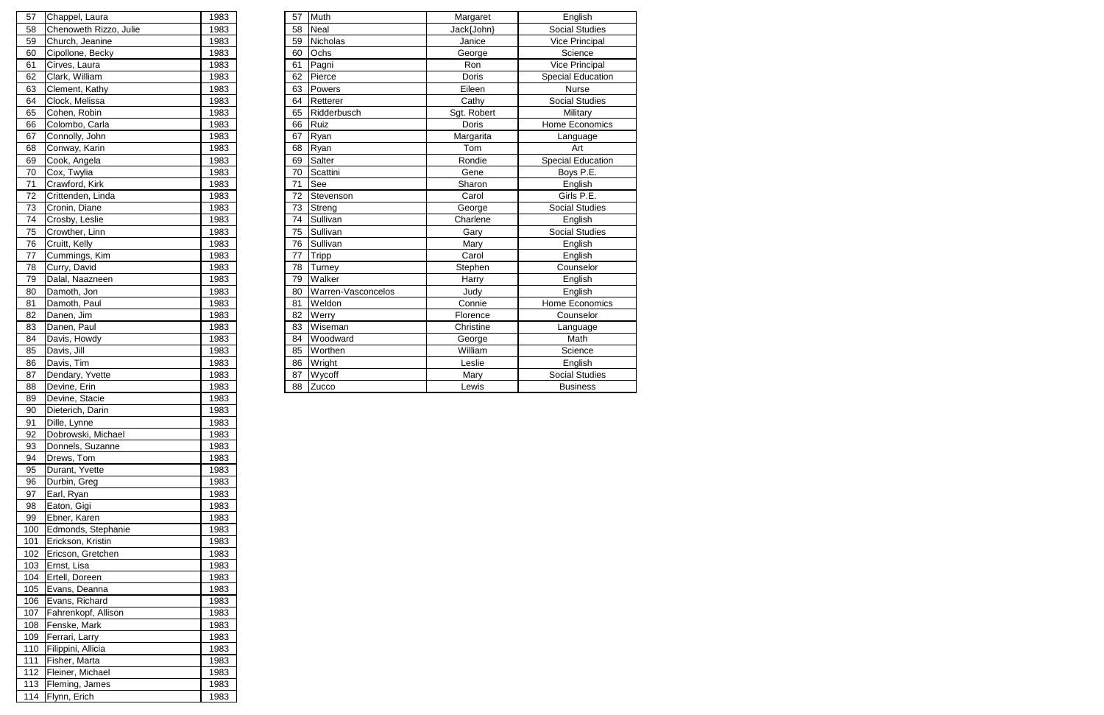| 57              | Chappel, Laura         | 1983 | 57 | Muth               | Margaret     | English                  |
|-----------------|------------------------|------|----|--------------------|--------------|--------------------------|
| 58              | Chenoweth Rizzo, Julie | 1983 | 58 | <b>Neal</b>        | Jack{John}   | <b>Social Studies</b>    |
| 59              | Church, Jeanine        | 1983 | 59 | <b>Nicholas</b>    | Janice       | Vice Principal           |
| 60              | Cipollone, Becky       | 1983 | 60 | Ochs               | George       | Science                  |
| 61              | Cirves, Laura          | 1983 | 61 | Pagni              | Ron          | <b>Vice Principal</b>    |
| 62              | Clark, William         | 1983 | 62 | Pierce             | Doris        | <b>Special Education</b> |
| 63              | Clement, Kathy         | 1983 | 63 | Powers             | Eileen       | <b>Nurse</b>             |
| 64              | Clock, Melissa         | 1983 | 64 | Retterer           | Cathy        | <b>Social Studies</b>    |
| 65              | Cohen, Robin           | 1983 | 65 | Ridderbusch        | Sgt. Robert  | Military                 |
| 66              | Colombo, Carla         | 1983 | 66 | Ruiz               | <b>Doris</b> | Home Economics           |
| 67              | Connolly, John         | 1983 | 67 | Ryan               | Margarita    | Language                 |
| 68              | Conway, Karin          | 1983 | 68 | Ryan               | Tom          | Art                      |
| 69              | Cook, Angela           | 1983 | 69 | Salter             | Rondie       | Special Education        |
| 70              | Cox, Twylia            | 1983 | 70 | Scattini           | Gene         | Boys P.E.                |
| 71              | Crawford, Kirk         | 1983 | 71 | See                | Sharon       | English                  |
| 72              | Crittenden, Linda      | 1983 | 72 | Stevenson          | Carol        | Girls P.E.               |
| 73              | Cronin, Diane          | 1983 | 73 | Streng             | George       | <b>Social Studies</b>    |
| 74              | Crosby, Leslie         | 1983 | 74 | Sullivan           | Charlene     | English                  |
| 75              | Crowther, Linn         | 1983 | 75 | Sullivan           | Gary         | <b>Social Studies</b>    |
| 76              | Cruitt, Kelly          | 1983 | 76 | Sullivan           | Mary         | English                  |
| $\overline{77}$ | Cummings, Kim          | 1983 | 77 | Tripp              | Carol        | English                  |
| 78              | Curry, David           | 1983 | 78 | Turney             | Stephen      | Counselor                |
| 79              | Dalal, Naazneen        | 1983 | 79 | Walker             | Harry        | English                  |
| 80              | Damoth, Jon            | 1983 | 80 | Warren-Vasconcelos | Judy         | English                  |
| 81              | Damoth, Paul           | 1983 | 81 | Weldon             | Connie       | Home Economics           |
| 82              | Danen, Jim             | 1983 | 82 | Werry              | Florence     | Counselor                |
| 83              | Danen, Paul            | 1983 | 83 | Wiseman            | Christine    | Language                 |
| 84              | Davis, Howdy           | 1983 | 84 | Woodward           | George       | Math                     |
| 85              | Davis, Jill            | 1983 | 85 | Worthen            | William      | Science                  |
| 86              | Davis, Tim             | 1983 | 86 | Wright             | Leslie       | English                  |
| 87              | Dendary, Yvette        | 1983 | 87 | Wycoff             | Mary         | <b>Social Studies</b>    |
| 88              | Devine, Erin           | 1983 | 88 | Zucco              | Lewis        | <b>Business</b>          |

| 57  | Chappel, Laura         | 1983 |
|-----|------------------------|------|
| 58  | Chenoweth Rizzo, Julie | 1983 |
|     |                        |      |
| 59  | Church, Jeanine        | 1983 |
| 60  | Cipollone, Becky       | 1983 |
| 61  | Cirves, Laura          | 1983 |
| 62  | Clark, William         | 1983 |
| 63  | Clement, Kathy         | 1983 |
| 64  | Clock, Melissa         | 1983 |
| 65  | Cohen, Robin           | 1983 |
| 66  | Colombo, Carla         | 1983 |
| 67  | Connolly, John         | 1983 |
| 68  | Conway, Karin          | 1983 |
| 69  | Cook, Angela           | 1983 |
| 70  | Cox, Twylia            | 1983 |
| 71  | Crawford, Kirk         | 1983 |
| 72  | Crittenden, Linda      | 1983 |
| 73  | Cronin, Diane          | 1983 |
| 74  | Crosby, Leslie         | 1983 |
| 75  | Crowther, Linn         | 1983 |
| 76  | Cruitt, Kelly          | 1983 |
| 77  | Cummings, Kim          | 1983 |
| 78  | Curry, David           | 1983 |
| 79  | Dalal, Naazneen        | 1983 |
| 80  | Damoth, Jon            | 1983 |
| 81  | Damoth, Paul           | 1983 |
| 82  | Danen, Jim             | 1983 |
| 83  | Danen, Paul            | 1983 |
| 84  | Davis, Howdy           | 1983 |
| 85  | Davis, Jill            | 1983 |
| 86  | Davis, Tim             | 1983 |
| 87  | Dendary, Yvette        | 1983 |
| 88  | Devine, Erin           | 1983 |
| 89  | Devine, Stacie         | 1983 |
| 90  | Dieterich, Darin       | 1983 |
| 91  | Dille, Lynne           | 1983 |
| 92  | Dobrowski, Michael     | 1983 |
| 93  | Donnels, Suzanne       | 1983 |
| 94  | Drews, Tom             | 1983 |
| 95  | Durant, Yvette         | 1983 |
| 96  | Durbin, Greg           | 1983 |
| 97  | Earl, Ryan             | 1983 |
| 98  | Eaton, Gigi            | 1983 |
| 99  | Ebner, Karen           | 1983 |
| 100 | Edmonds, Stephanie     | 1983 |
| 101 | Erickson, Kristin      | 1983 |
| 102 | Ericson, Gretchen      | 1983 |
| 103 | Ernst, Lisa            | 1983 |
| 104 | Ertell, Doreen         | 1983 |
| 105 | Evans, Deanna          | 1983 |
| 106 | Evans, Richard         | 1983 |
| 107 | Fahrenkopf, Allison    | 1983 |
| 108 | Fenske, Mark           | 1983 |
| 109 | Ferrari, Larry         | 1983 |
| 110 | Filippini, Allicia     | 1983 |
| 111 | Fisher, Marta          | 1983 |
| 112 | Fleiner, Michael       | 1983 |
| 113 | Fleming, James         | 1983 |
| 114 | Flynn, Erich           | 1983 |
|     |                        |      |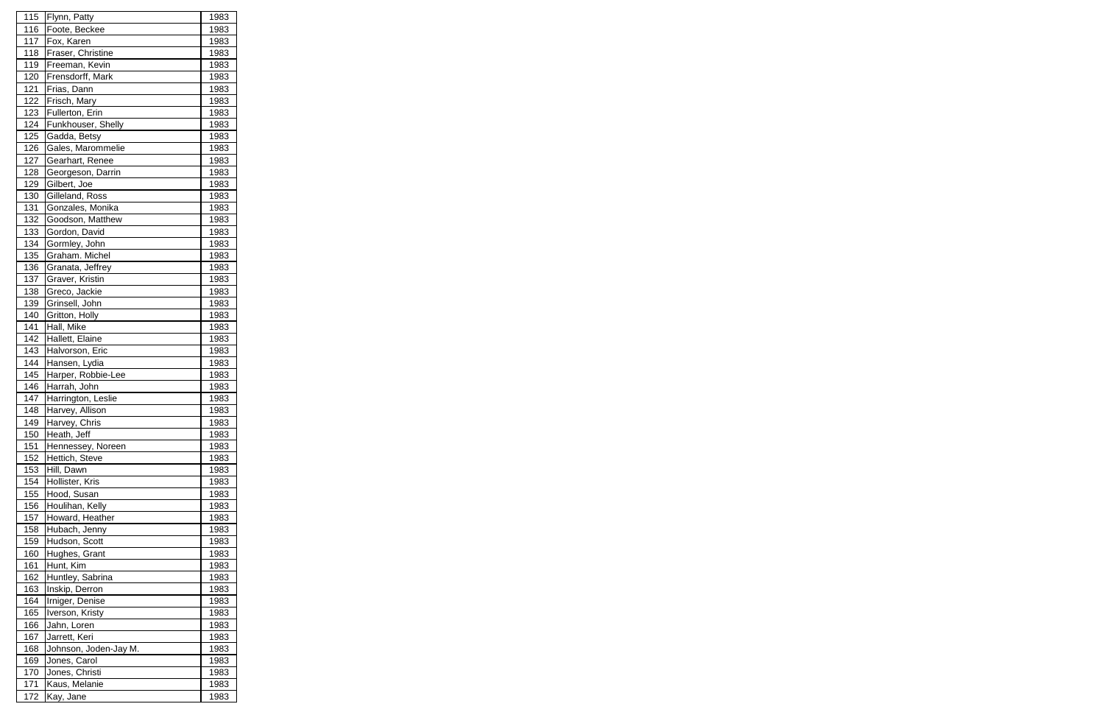| 115        | Flynn, Patty               | 1983         |
|------------|----------------------------|--------------|
| 116        | Foote, Beckee              | 1983         |
| 117        | Fox, Karen                 | 1983         |
| 118        | Fraser, Christine          | 1983         |
| 119        | Freeman, Kevin             | 1983         |
| 120        | Frensdorff, Mark           | 1983         |
| 121        | Frias, Dann                | 1983         |
| 122        | Frisch, Mary               | 1983         |
| 123        | Fullerton, Erin            | 1983         |
| 124        | Funkhouser, Shelly         | 1983         |
| 125        | Gadda, Betsy               | 1983         |
| 126        | Gales, Marommelie          | 1983         |
| 127        | Gearhart, Renee            | 1983         |
| 128        | Georgeson, Darrin          | 1983         |
| 129        | Gilbert, Joe               | 1983         |
| 130        | Gilleland, Ross            | 1983         |
| 131        | Gonzales, Monika           | 1983         |
| 132        | Goodson, Matthew           | 1983         |
| 133        | Gordon, David              | 1983         |
| 134        | Gormley, John              | 1983         |
| 135        | Graham. Michel             | 1983         |
| 136        | Granata, Jeffrey           | 1983         |
| 137        | Graver, Kristin            | 1983         |
| 138        | Greco, Jackie              | 1983         |
| 139        | Grinsell, John             | 1983         |
| 140        | Gritton, Holly             | 1983         |
| 141        | Hall, Mike                 | 1983         |
| 142        | Hallett, Elaine            | 1983         |
| 143        | Halvorson, Eric            | 1983         |
| 144        | Hansen, Lydia              | 1983         |
| 145        | Harper, Robbie-Lee         | 1983         |
| 146        | Harrah, John               | 1983         |
| 147        | Harrington, Leslie         | 1983         |
| <u>148</u> | Harvey, Allison            | <u>1983</u>  |
| 149        | Harvey, Chris              | 1983         |
| 150        | Heath, Jeff                | 1983         |
| 151        | Hennessey, Noreen          | 1983         |
| 152        | Hettich, Steve             | 1983         |
| 153        | Hill, Dawn                 | 1983         |
| 154        | Hollister, Kris            | 1983         |
| 155        | Hood, Susan                | 1983         |
| 156        | Houlihan, Kelly            | 1983         |
| 157        | Howard, Heather            | 1983         |
| 158        | Hubach, Jenny              | 1983         |
| 159        | Hudson, Scott              | 1983         |
|            |                            |              |
| 160        | Hughes, Grant<br>Hunt, Kim | 1983<br>1983 |
| 161<br>162 | Huntley, Sabrina           |              |
|            |                            | 1983         |
| 163        | Inskip, Derron             | 1983         |
| 164        | Irniger, Denise            | 1983         |
| 165        | Iverson, Kristy            | 1983         |
| 166        | Jahn, Loren                | 1983         |
| 167        | Jarrett, Keri              | 1983         |
| 168        | Johnson, Joden-Jay M.      | 1983         |
| 169        | Jones, Carol               | 1983         |
| 170        | Jones, Christi             | 1983         |
| 171        | Kaus, Melanie              | 1983         |
| 172        | Kay, Jane                  | 1983         |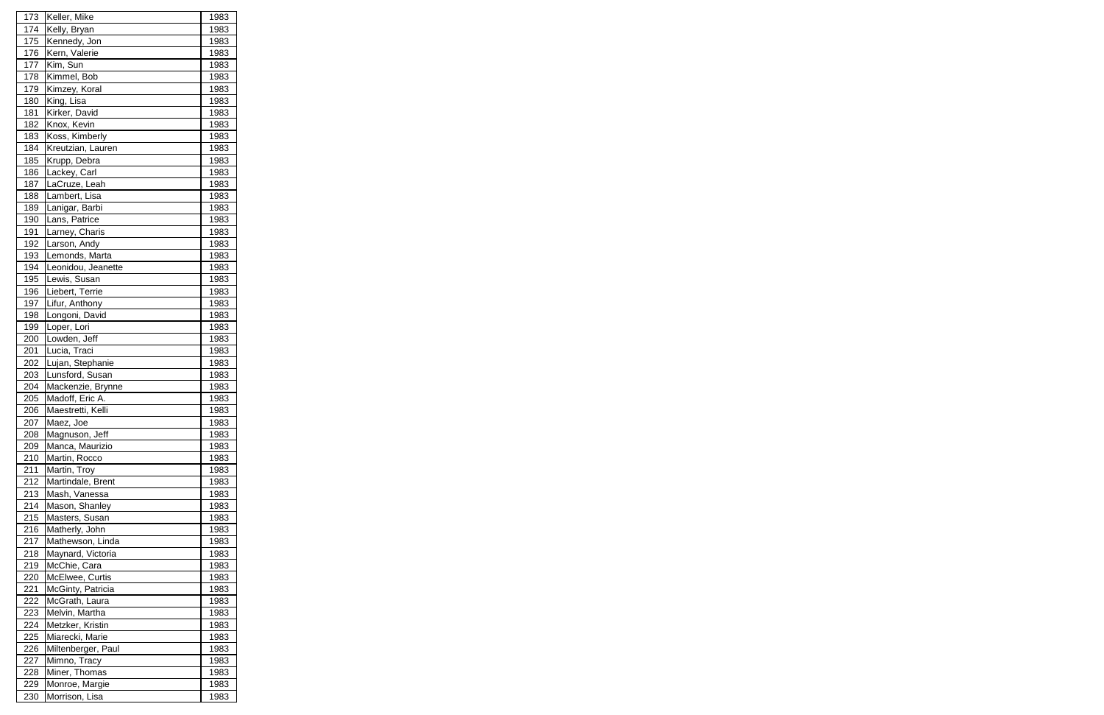| 173 | Keller, Mike       | 1983         |
|-----|--------------------|--------------|
| 174 | Kelly, Bryan       | 1983         |
| 175 | Kennedy, Jon       | 1983         |
| 176 | Kern, Valerie      | 1983         |
| 177 | Kim, Sun           | 1983         |
| 178 | Kimmel, Bob        | 1983         |
| 179 | Kimzey, Koral      | 1983         |
| 180 | King, Lisa         | 1983         |
| 181 | Kirker, David      | 1983         |
| 182 | Knox, Kevin        | 1983         |
| 183 | Koss, Kimberly     | 1983         |
| 184 | Kreutzian, Lauren  | 1983         |
| 185 | Krupp, Debra       | 1983         |
| 186 | Lackey, Carl       | 1983         |
| 187 | LaCruze, Leah      | 1983         |
| 188 | Lambert, Lisa      | 1983         |
| 189 |                    | 1983         |
|     | Lanigar, Barbi     |              |
| 190 | Lans, Patrice      | 1983         |
| 191 | Larney, Charis     | 1983         |
| 192 | Larson, Andy       | 1983         |
| 193 | Lemonds, Marta     | 1983         |
| 194 | Leonidou, Jeanette | 1983         |
| 195 | Lewis, Susan       | 1983         |
| 196 | Liebert, Terrie    | 1983         |
| 197 | Lifur, Anthony     | 1983         |
| 198 | Longoni, David     | 1983         |
| 199 | Loper, Lori        | 1983         |
| 200 | Lowden, Jeff       | 1983         |
| 201 | Lucia, Traci       | 1983         |
| 202 | Lujan, Stephanie   | 1983         |
| 203 | Lunsford, Susan    | 1983         |
| 204 | Mackenzie, Brynne  | 1983         |
| 205 | Madoff, Eric A.    | 1983         |
| 206 | Maestretti, Kelli  | <u> 1983</u> |
| 207 | Maez, Joe          | 1983         |
| 208 | Magnuson, Jeff     | 1983         |
| 209 | Manca, Maurizio    | 1983         |
| 210 | Martin, Rocco      | 1983         |
| 211 | Martin, Troy       | 1983         |
| 212 | Martindale, Brent  | 1983         |
| 213 | Mash, Vanessa      | 1983         |
| 214 | Mason, Shanley     | 1983         |
| 215 | Masters, Susan     | 1983         |
| 216 | Matherly, John     | 1983         |
| 217 | Mathewson, Linda   | 1983         |
| 218 | Maynard, Victoria  | 1983         |
| 219 | McChie, Cara       | 1983         |
| 220 | McElwee, Curtis    | 1983         |
| 221 | McGinty, Patricia  | 1983         |
| 222 | McGrath, Laura     | 1983         |
| 223 | Melvin, Martha     | 1983         |
| 224 | Metzker, Kristin   | 1983         |
| 225 | Miarecki, Marie    | 1983         |
|     |                    |              |
| 226 | Miltenberger, Paul | 1983         |
| 227 | Mimno, Tracy       | 1983         |
| 228 | Miner, Thomas      | 1983         |
| 229 | Monroe, Margie     | 1983         |
| 230 | Morrison, Lisa     | 1983         |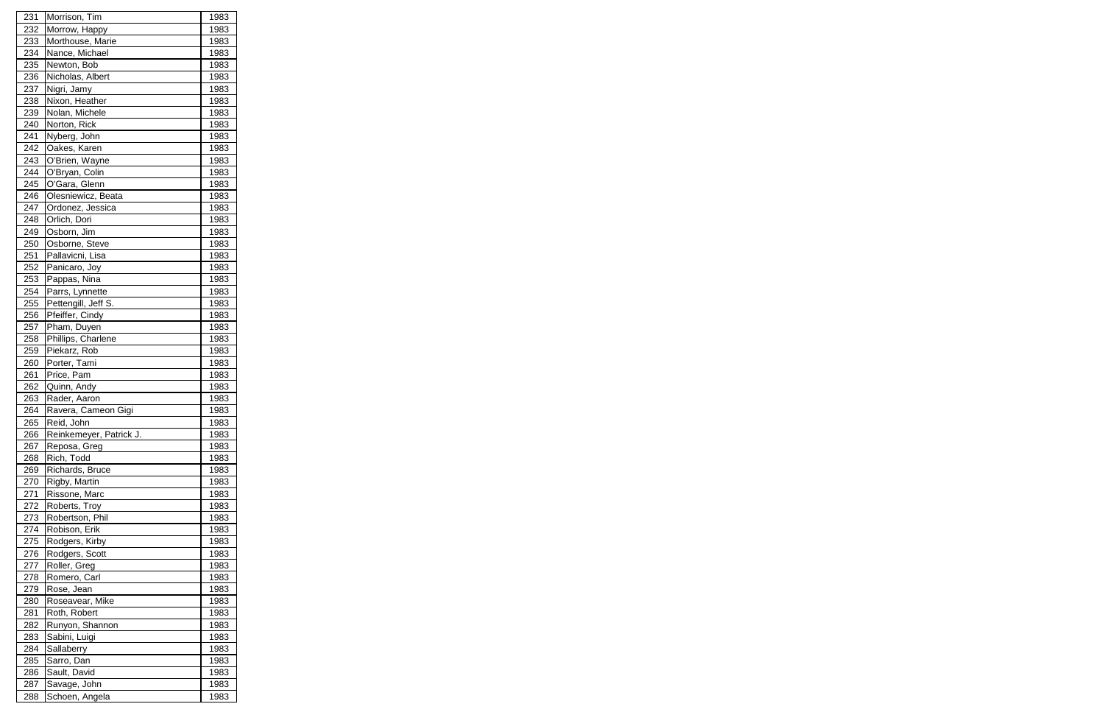| 231 | Morrison, Tim           | 1983 |
|-----|-------------------------|------|
| 232 | Morrow, Happy           | 1983 |
| 233 | Morthouse, Marie        | 1983 |
| 234 | Nance, Michael          | 1983 |
| 235 | Newton, Bob             | 1983 |
| 236 | Nicholas, Albert        | 1983 |
| 237 | Nigri, Jamy             | 1983 |
| 238 | Nixon, Heather          | 1983 |
| 239 | Nolan, Michele          | 1983 |
| 240 | Norton, Rick            | 1983 |
| 241 | Nyberg, John            | 1983 |
| 242 | Oakes, Karen            | 1983 |
| 243 | O'Brien, Wayne          | 1983 |
| 244 | O'Bryan, Colin          | 1983 |
| 245 | O'Gara, Glenn           | 1983 |
| 246 | Olesniewicz, Beata      | 1983 |
| 247 | Ordonez, Jessica        | 1983 |
| 248 | Orlich, Dori            | 1983 |
| 249 | Osborn, Jim             |      |
|     |                         | 1983 |
| 250 | Osborne, Steve          | 1983 |
| 251 | Pallavicni, Lisa        | 1983 |
| 252 | Panicaro, Joy           | 1983 |
| 253 | Pappas, Nina            | 1983 |
| 254 | Parrs, Lynnette         | 1983 |
| 255 | Pettengill, Jeff S.     | 1983 |
| 256 | Pfeiffer, Cindy         | 1983 |
| 257 | Pham, Duyen             | 1983 |
| 258 | Phillips, Charlene      | 1983 |
| 259 | Piekarz, Rob            | 1983 |
| 260 | Porter, Tami            | 1983 |
| 261 | Price, Pam              | 1983 |
| 262 | Quinn, Andy             | 1983 |
| 263 | Rader, Aaron            | 1983 |
| 264 | Ravera, Cameon Gigi     | 1983 |
| 265 | Reid, John              | 1983 |
| 266 | Reinkemeyer, Patrick J. | 1983 |
| 267 | Reposa, Greg            | 1983 |
| 268 | Rich, Todd              | 1983 |
| 269 | Richards, Bruce         | 1983 |
| 270 | Rigby, Martin           | 1983 |
| 271 | Rissone, Marc           | 1983 |
| 272 | Roberts, Troy           | 1983 |
| 273 | Robertson, Phil         | 1983 |
| 274 | Robison, Erik           | 1983 |
| 275 | Rodgers, Kirby          | 1983 |
| 276 | Rodgers, Scott          | 1983 |
| 277 | Roller, Greg            | 1983 |
| 278 | Romero, Carl            | 1983 |
| 279 | Rose, Jean              | 1983 |
| 280 | Roseavear, Mike         | 1983 |
| 281 | Roth, Robert            | 1983 |
| 282 | Runyon, Shannon         | 1983 |
| 283 | Sabini, Luigi           | 1983 |
| 284 | Sallaberry              | 1983 |
| 285 | Sarro, Dan              | 1983 |
| 286 | Sault, David            | 1983 |
| 287 | Savage, John            | 1983 |
| 288 | Schoen, Angela          | 1983 |
|     |                         |      |